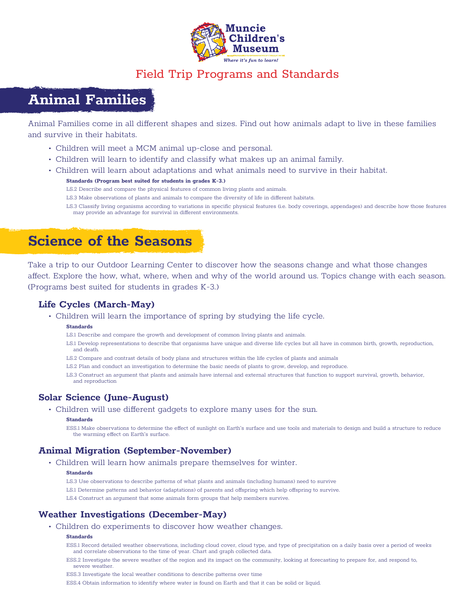

## Field Trip Programs and Standards

## **Animal Families**

Animal Families come in all different shapes and sizes. Find out how animals adapt to live in these families and survive in their habitats.

- Children will meet a MCM animal up-close and personal.
- Children will learn to identify and classify what makes up an animal family.
- Children will learn about adaptations and what animals need to survive in their habitat.

### **Standards (Program best suited for students in grades K-3.)**

- LS.2 Describe and compare the physical features of common living plants and animals.
- LS.3 Make observations of plants and animals to compare the diversity of life in different habitats.

LS.3 Classify living organisms according to variations in specific physical features (i.e. body coverings, appendages) and describe how those features may provide an advantage for survival in different environments.

## **Science of the Seasons**

Take a trip to our Outdoor Learning Center to discover how the seasons change and what those changes affect. Explore the how, what, where, when and why of the world around us. Topics change with each season. (Programs best suited for students in grades K-3.)

## **Life Cycles (March-May)**

• Children will learn the importance of spring by studying the life cycle.

#### **Standards**

- LS.1 Describe and compare the growth and development of common living plants and animals.
- LS.1 Develop representations to describe that organisms have unique and diverse life cycles but all have in common birth, growth, reproduction, and death.
- LS.2 Compare and contrast details of body plans and structures within the life cycles of plants and animals
- LS.2 Plan and conduct an investigation to determine the basic needs of plants to grow, develop, and reproduce.

LS.3 Construct an argument that plants and animals have internal and external structures that function to support survival, growth, behavior, and reproduction

### **Solar Science (June-August)**

• Children will use different gadgets to explore many uses for the sun.

#### **Standards**

ESS.1 Make observations to determine the effect of sunlight on Earth's surface and use tools and materials to design and build a structure to reduce the warming effect on Earth's surface.

## **Animal Migration (September-November)**

• Children will learn how animals prepare themselves for winter.

#### **Standards**

- LS.3 Use observations to describe patterns of what plants and animals (including humans) need to survive
- LS.1 Determine patterns and behavior (adaptations) of parents and offspring which help offspring to survive.

LS.4 Construct an argument that some animals form groups that help members survive.

## **Weather Investigations (December-May)**

• Children do experiments to discover how weather changes.

#### **Standards**

- ESS.1 Record detailed weather observations, including cloud cover, cloud type, and type of precipitation on a daily basis over a period of weeks and correlate observations to the time of year. Chart and graph collected data.
- ESS.2 Investigate the severe weather of the region and its impact on the community, looking at forecasting to prepare for, and respond to, severe weather.
- ESS.3 Investigate the local weather conditions to describe patterns over time
- ESS.4 Obtain information to identify where water is found on Earth and that it can be solid or liquid.